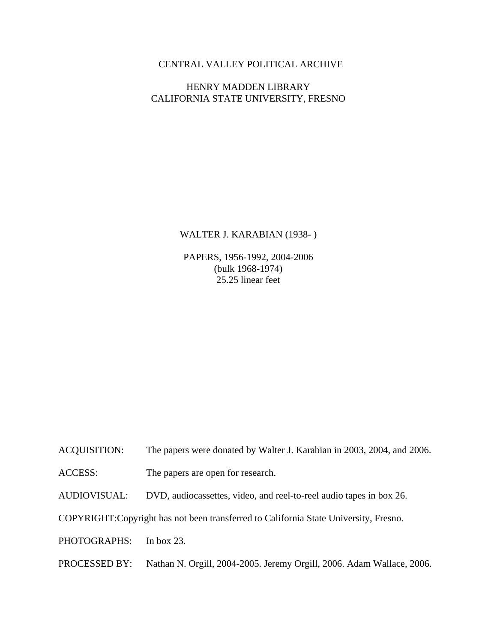## CENTRAL VALLEY POLITICAL ARCHIVE

## HENRY MADDEN LIBRARY CALIFORNIA STATE UNIVERSITY, FRESNO

#### WALTER J. KARABIAN (1938- )

PAPERS, 1956-1992, 2004-2006 (bulk 1968-1974) 25.25 linear feet

- ACQUISITION: The papers were donated by Walter J. Karabian in 2003, 2004, and 2006.
- ACCESS: The papers are open for research.
- AUDIOVISUAL: DVD, audiocassettes, video, and reel-to-reel audio tapes in box 26.

COPYRIGHT: Copyright has not been transferred to California State University, Fresno.

- PHOTOGRAPHS: In box 23.
- PROCESSED BY: Nathan N. Orgill, 2004-2005. Jeremy Orgill, 2006. Adam Wallace, 2006.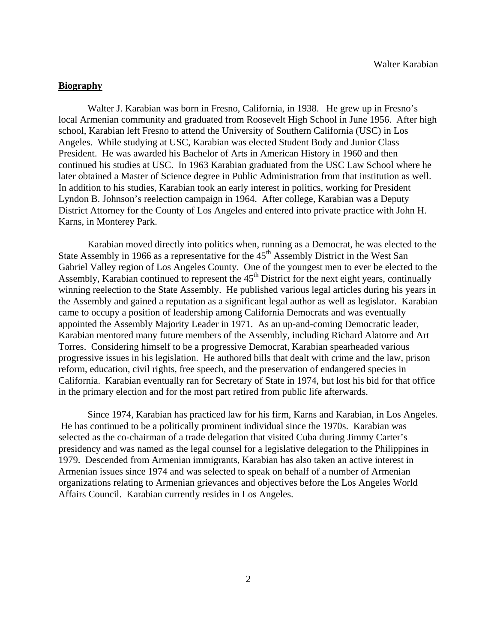### **Biography**

Walter J. Karabian was born in Fresno, California, in 1938. He grew up in Fresno's local Armenian community and graduated from Roosevelt High School in June 1956. After high school, Karabian left Fresno to attend the University of Southern California (USC) in Los Angeles. While studying at USC, Karabian was elected Student Body and Junior Class President. He was awarded his Bachelor of Arts in American History in 1960 and then continued his studies at USC. In 1963 Karabian graduated from the USC Law School where he later obtained a Master of Science degree in Public Administration from that institution as well. In addition to his studies, Karabian took an early interest in politics, working for President Lyndon B. Johnson's reelection campaign in 1964. After college, Karabian was a Deputy District Attorney for the County of Los Angeles and entered into private practice with John H. Karns, in Monterey Park.

Karabian moved directly into politics when, running as a Democrat, he was elected to the State Assembly in 1966 as a representative for the  $45<sup>th</sup>$  Assembly District in the West San Gabriel Valley region of Los Angeles County. One of the youngest men to ever be elected to the Assembly, Karabian continued to represent the 45<sup>th</sup> District for the next eight years, continually winning reelection to the State Assembly. He published various legal articles during his years in the Assembly and gained a reputation as a significant legal author as well as legislator. Karabian came to occupy a position of leadership among California Democrats and was eventually appointed the Assembly Majority Leader in 1971. As an up-and-coming Democratic leader, Karabian mentored many future members of the Assembly, including Richard Alatorre and Art Torres. Considering himself to be a progressive Democrat, Karabian spearheaded various progressive issues in his legislation. He authored bills that dealt with crime and the law, prison reform, education, civil rights, free speech, and the preservation of endangered species in California. Karabian eventually ran for Secretary of State in 1974, but lost his bid for that office in the primary election and for the most part retired from public life afterwards.

Since 1974, Karabian has practiced law for his firm, Karns and Karabian, in Los Angeles. He has continued to be a politically prominent individual since the 1970s. Karabian was selected as the co-chairman of a trade delegation that visited Cuba during Jimmy Carter's presidency and was named as the legal counsel for a legislative delegation to the Philippines in 1979. Descended from Armenian immigrants, Karabian has also taken an active interest in Armenian issues since 1974 and was selected to speak on behalf of a number of Armenian organizations relating to Armenian grievances and objectives before the Los Angeles World Affairs Council. Karabian currently resides in Los Angeles.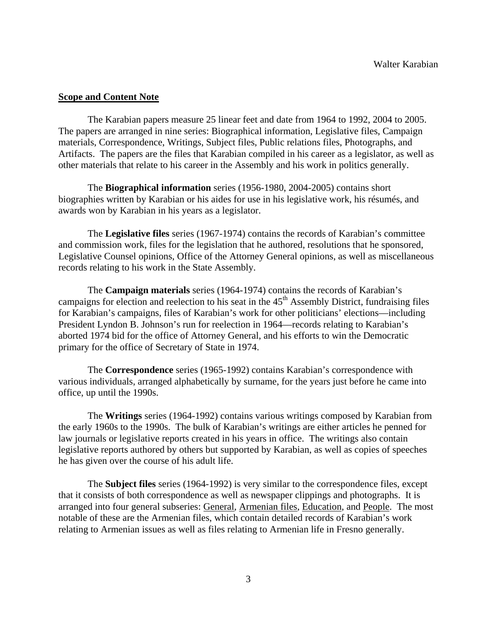#### **Scope and Content Note**

The Karabian papers measure 25 linear feet and date from 1964 to 1992, 2004 to 2005. The papers are arranged in nine series: Biographical information, Legislative files, Campaign materials, Correspondence, Writings, Subject files, Public relations files, Photographs, and Artifacts. The papers are the files that Karabian compiled in his career as a legislator, as well as other materials that relate to his career in the Assembly and his work in politics generally.

The **Biographical information** series (1956-1980, 2004-2005) contains short biographies written by Karabian or his aides for use in his legislative work, his résumés, and awards won by Karabian in his years as a legislator.

The **Legislative files** series (1967-1974) contains the records of Karabian's committee and commission work, files for the legislation that he authored, resolutions that he sponsored, Legislative Counsel opinions, Office of the Attorney General opinions, as well as miscellaneous records relating to his work in the State Assembly.

The **Campaign materials** series (1964-1974) contains the records of Karabian's campaigns for election and reelection to his seat in the 45<sup>th</sup> Assembly District, fundraising files for Karabian's campaigns, files of Karabian's work for other politicians' elections—including President Lyndon B. Johnson's run for reelection in 1964—records relating to Karabian's aborted 1974 bid for the office of Attorney General, and his efforts to win the Democratic primary for the office of Secretary of State in 1974.

The **Correspondence** series (1965-1992) contains Karabian's correspondence with various individuals, arranged alphabetically by surname, for the years just before he came into office, up until the 1990s.

The **Writings** series (1964-1992) contains various writings composed by Karabian from the early 1960s to the 1990s. The bulk of Karabian's writings are either articles he penned for law journals or legislative reports created in his years in office. The writings also contain legislative reports authored by others but supported by Karabian, as well as copies of speeches he has given over the course of his adult life.

The **Subject files** series (1964-1992) is very similar to the correspondence files, except that it consists of both correspondence as well as newspaper clippings and photographs. It is arranged into four general subseries: General, Armenian files, Education, and People. The most notable of these are the Armenian files, which contain detailed records of Karabian's work relating to Armenian issues as well as files relating to Armenian life in Fresno generally.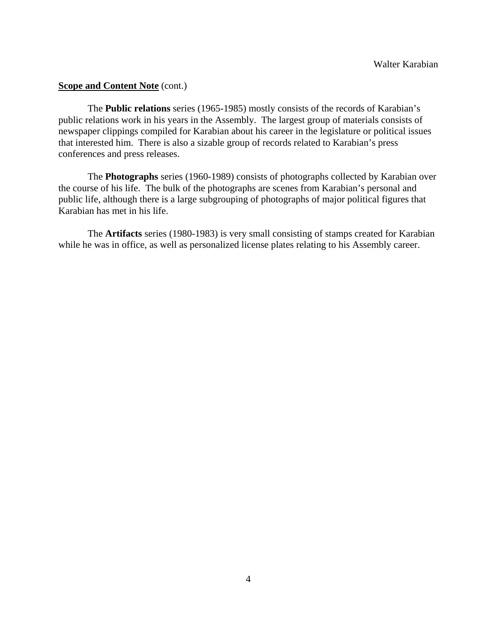#### **Scope and Content Note** (cont.)

The **Public relations** series (1965-1985) mostly consists of the records of Karabian's public relations work in his years in the Assembly. The largest group of materials consists of newspaper clippings compiled for Karabian about his career in the legislature or political issues that interested him. There is also a sizable group of records related to Karabian's press conferences and press releases.

The **Photographs** series (1960-1989) consists of photographs collected by Karabian over the course of his life. The bulk of the photographs are scenes from Karabian's personal and public life, although there is a large subgrouping of photographs of major political figures that Karabian has met in his life.

The **Artifacts** series (1980-1983) is very small consisting of stamps created for Karabian while he was in office, as well as personalized license plates relating to his Assembly career.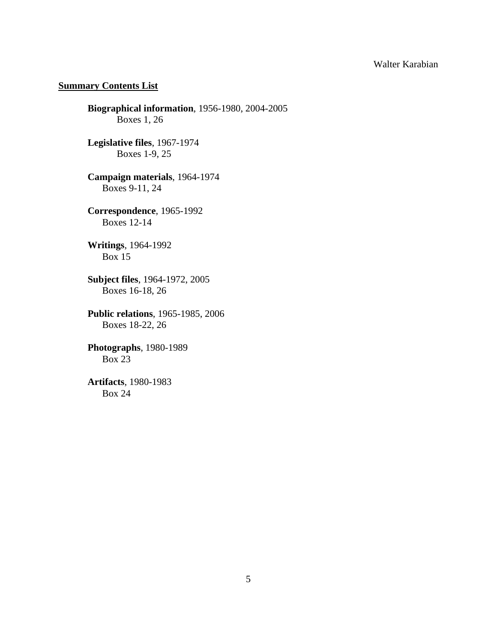## **Summary Contents List**

**Biographical information**, 1956-1980, 2004-2005 Boxes 1, 26

**Legislative files**, 1967-1974 Boxes 1-9, 25

**Campaign materials**, 1964-1974 Boxes 9-11, 24

**Correspondence**, 1965-1992 Boxes 12-14

**Writings**, 1964-1992 Box 15

**Subject files**, 1964-1972, 2005 Boxes 16-18, 26

 **Public relations**, 1965-1985, 2006 Boxes 18-22, 26

 **Photographs**, 1980-1989 Box 23

**Artifacts**, 1980-1983 Box 24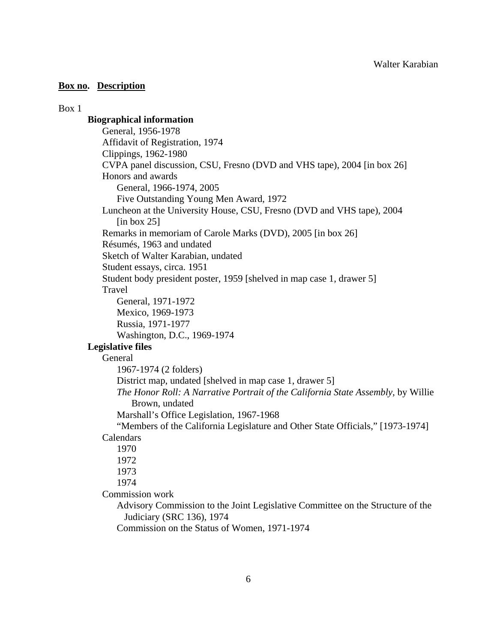#### Box 1

## **Biographical information**

 General, 1956-1978 Affidavit of Registration, 1974 Clippings, 1962-1980 CVPA panel discussion, CSU, Fresno (DVD and VHS tape), 2004 [in box 26] Honors and awards General, 1966-1974, 2005 Five Outstanding Young Men Award, 1972 Luncheon at the University House, CSU, Fresno (DVD and VHS tape), 2004  $\lceil$ in box 25 $\rceil$  Remarks in memoriam of Carole Marks (DVD), 2005 [in box 26] Résumés, 1963 and undated Sketch of Walter Karabian, undated Student essays, circa. 1951 Student body president poster, 1959 [shelved in map case 1, drawer 5] Travel General, 1971-1972 Mexico, 1969-1973 Russia, 1971-1977 Washington, D.C., 1969-1974 **Legislative files** General 1967-1974 (2 folders) District map, undated [shelved in map case 1, drawer 5] *The Honor Roll: A Narrative Portrait of the California State Assembly,* by Willie Brown, undated Marshall's Office Legislation, 1967-1968 "Members of the California Legislature and Other State Officials," [1973-1974] Calendars 1970

1972

1973

1974

Commission work

 Advisory Commission to the Joint Legislative Committee on the Structure of the Judiciary (SRC 136), 1974

Commission on the Status of Women, 1971-1974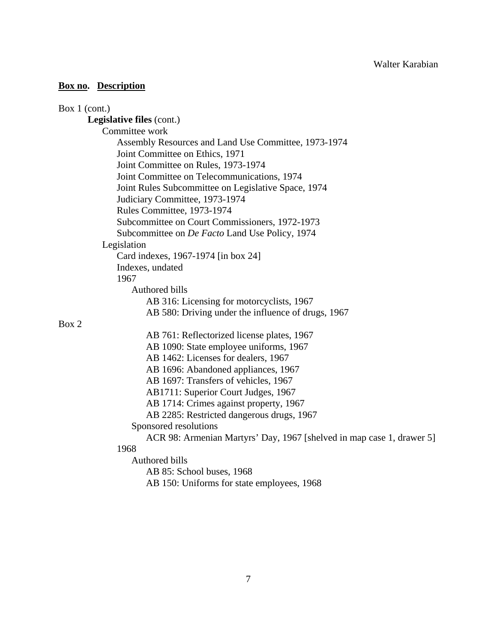| Box $1$ (cont.)                                                       |
|-----------------------------------------------------------------------|
| <b>Legislative files (cont.)</b>                                      |
| Committee work                                                        |
| Assembly Resources and Land Use Committee, 1973-1974                  |
| Joint Committee on Ethics, 1971                                       |
| Joint Committee on Rules, 1973-1974                                   |
| Joint Committee on Telecommunications, 1974                           |
| Joint Rules Subcommittee on Legislative Space, 1974                   |
| Judiciary Committee, 1973-1974                                        |
| Rules Committee, 1973-1974                                            |
| Subcommittee on Court Commissioners, 1972-1973                        |
| Subcommittee on De Facto Land Use Policy, 1974                        |
| Legislation                                                           |
| Card indexes, 1967-1974 [in box 24]                                   |
| Indexes, undated                                                      |
| 1967                                                                  |
| Authored bills                                                        |
| AB 316: Licensing for motorcyclists, 1967                             |
| AB 580: Driving under the influence of drugs, 1967                    |
| Box 2                                                                 |
| AB 761: Reflectorized license plates, 1967                            |
| AB 1090: State employee uniforms, 1967                                |
| AB 1462: Licenses for dealers, 1967                                   |
| AB 1696: Abandoned appliances, 1967                                   |
| AB 1697: Transfers of vehicles, 1967                                  |
| AB1711: Superior Court Judges, 1967                                   |
| AB 1714: Crimes against property, 1967                                |
| AB 2285: Restricted dangerous drugs, 1967                             |
| Sponsored resolutions                                                 |
| ACR 98: Armenian Martyrs' Day, 1967 [shelved in map case 1, drawer 5] |
| 1968                                                                  |
| Authored bills                                                        |
| AB 85: School buses, 1968                                             |
| AB 150: Uniforms for state employees, 1968                            |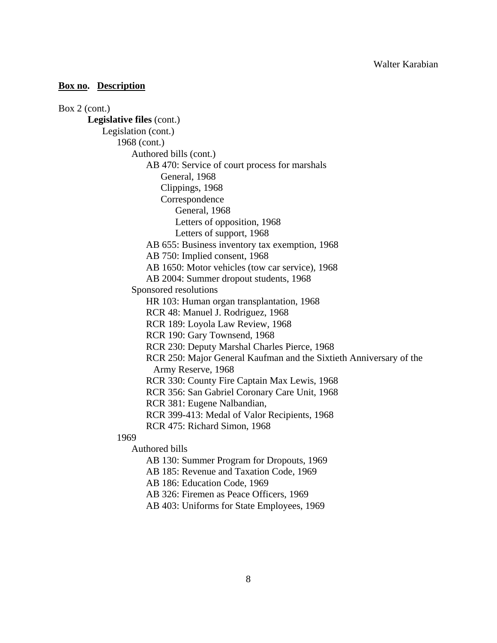Box 2 (cont.) **Legislative files** (cont.) Legislation (cont.) 1968 (cont.) Authored bills (cont.) AB 470: Service of court process for marshals General, 1968 Clippings, 1968 Correspondence General, 1968 Letters of opposition, 1968 Letters of support, 1968 AB 655: Business inventory tax exemption, 1968 AB 750: Implied consent, 1968 AB 1650: Motor vehicles (tow car service), 1968 AB 2004: Summer dropout students, 1968 Sponsored resolutions HR 103: Human organ transplantation, 1968 RCR 48: Manuel J. Rodriguez, 1968 RCR 189: Loyola Law Review, 1968 RCR 190: Gary Townsend, 1968 RCR 230: Deputy Marshal Charles Pierce, 1968 RCR 250: Major General Kaufman and the Sixtieth Anniversary of the Army Reserve, 1968 RCR 330: County Fire Captain Max Lewis, 1968 RCR 356: San Gabriel Coronary Care Unit, 1968 RCR 381: Eugene Nalbandian, RCR 399-413: Medal of Valor Recipients, 1968 RCR 475: Richard Simon, 1968 1969 Authored bills AB 130: Summer Program for Dropouts, 1969 AB 185: Revenue and Taxation Code, 1969 AB 186: Education Code, 1969 AB 326: Firemen as Peace Officers, 1969

AB 403: Uniforms for State Employees, 1969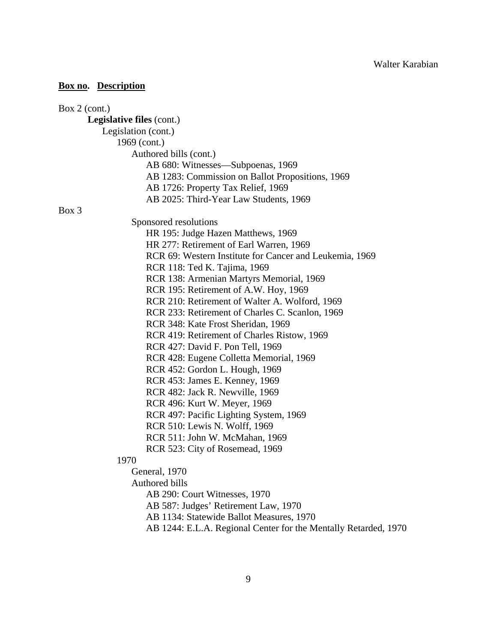| Box $2$ (cont.)                                                 |
|-----------------------------------------------------------------|
| <b>Legislative files (cont.)</b>                                |
| Legislation (cont.)                                             |
| 1969 (cont.)                                                    |
| Authored bills (cont.)                                          |
| AB 680: Witnesses—Subpoenas, 1969                               |
| AB 1283: Commission on Ballot Propositions, 1969                |
| AB 1726: Property Tax Relief, 1969                              |
| AB 2025: Third-Year Law Students, 1969                          |
| Box 3                                                           |
| Sponsored resolutions                                           |
| HR 195: Judge Hazen Matthews, 1969                              |
| HR 277: Retirement of Earl Warren, 1969                         |
| RCR 69: Western Institute for Cancer and Leukemia, 1969         |
| RCR 118: Ted K. Tajima, 1969                                    |
| RCR 138: Armenian Martyrs Memorial, 1969                        |
| RCR 195: Retirement of A.W. Hoy, 1969                           |
| RCR 210: Retirement of Walter A. Wolford, 1969                  |
| RCR 233: Retirement of Charles C. Scanlon, 1969                 |
| RCR 348: Kate Frost Sheridan, 1969                              |
| RCR 419: Retirement of Charles Ristow, 1969                     |
| RCR 427: David F. Pon Tell, 1969                                |
| RCR 428: Eugene Colletta Memorial, 1969                         |
| RCR 452: Gordon L. Hough, 1969                                  |
| RCR 453: James E. Kenney, 1969                                  |
| RCR 482: Jack R. Newville, 1969                                 |
| RCR 496: Kurt W. Meyer, 1969                                    |
| RCR 497: Pacific Lighting System, 1969                          |
| RCR 510: Lewis N. Wolff, 1969                                   |
| RCR 511: John W. McMahan, 1969                                  |
| RCR 523: City of Rosemead, 1969                                 |
| 1970                                                            |
| General, 1970                                                   |
| <b>Authored bills</b>                                           |
| AB 290: Court Witnesses, 1970                                   |
| AB 587: Judges' Retirement Law, 1970                            |
| AB 1134: Statewide Ballot Measures, 1970                        |
| AB 1244: E.L.A. Regional Center for the Mentally Retarded, 1970 |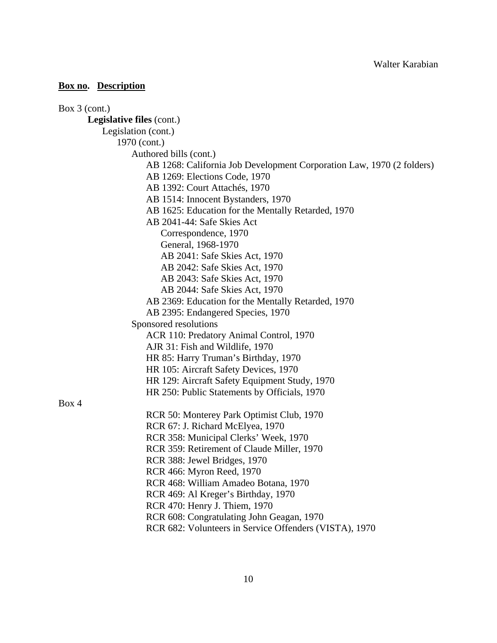| Box $3$ (cont.)                                                       |  |
|-----------------------------------------------------------------------|--|
| Legislative files (cont.)                                             |  |
| Legislation (cont.)                                                   |  |
| 1970 (cont.)                                                          |  |
| Authored bills (cont.)                                                |  |
| AB 1268: California Job Development Corporation Law, 1970 (2 folders) |  |
| AB 1269: Elections Code, 1970                                         |  |
| AB 1392: Court Attachés, 1970                                         |  |
| AB 1514: Innocent Bystanders, 1970                                    |  |
| AB 1625: Education for the Mentally Retarded, 1970                    |  |
| AB 2041-44: Safe Skies Act                                            |  |
| Correspondence, 1970                                                  |  |
| General, 1968-1970                                                    |  |
| AB 2041: Safe Skies Act, 1970                                         |  |
| AB 2042: Safe Skies Act, 1970                                         |  |
| AB 2043: Safe Skies Act, 1970                                         |  |
| AB 2044: Safe Skies Act, 1970                                         |  |
| AB 2369: Education for the Mentally Retarded, 1970                    |  |
| AB 2395: Endangered Species, 1970                                     |  |
| Sponsored resolutions                                                 |  |
| ACR 110: Predatory Animal Control, 1970                               |  |
| AJR 31: Fish and Wildlife, 1970                                       |  |
| HR 85: Harry Truman's Birthday, 1970                                  |  |
| HR 105: Aircraft Safety Devices, 1970                                 |  |
| HR 129: Aircraft Safety Equipment Study, 1970                         |  |
| HR 250: Public Statements by Officials, 1970                          |  |
| Box 4                                                                 |  |
| RCR 50: Monterey Park Optimist Club, 1970                             |  |
| RCR 67: J. Richard McElyea, 1970                                      |  |
| RCR 358: Municipal Clerks' Week, 1970                                 |  |
| RCR 359: Retirement of Claude Miller, 1970                            |  |
| RCR 388: Jewel Bridges, 1970                                          |  |
| RCR 466: Myron Reed, 1970                                             |  |
| RCR 468: William Amadeo Botana, 1970                                  |  |
| RCR 469: Al Kreger's Birthday, 1970                                   |  |
| RCR 470: Henry J. Thiem, 1970                                         |  |
| RCR 608: Congratulating John Geagan, 1970                             |  |
| RCR 682: Volunteers in Service Offenders (VISTA), 1970                |  |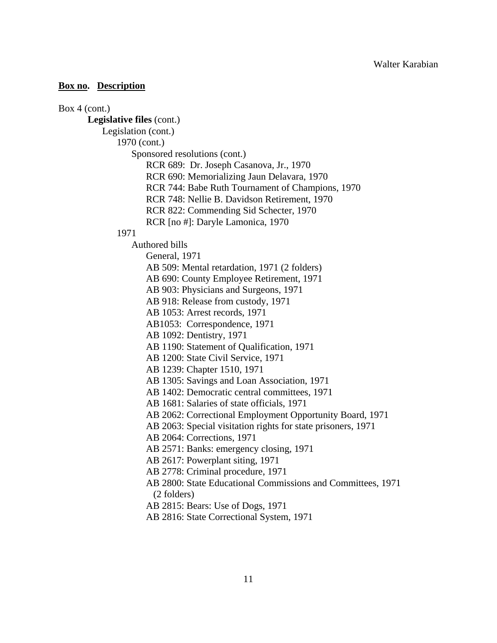#### Box 4 (cont.)

## **Legislative files** (cont.)

Legislation (cont.)

1970 (cont.)

Sponsored resolutions (cont.)

RCR 689: Dr. Joseph Casanova, Jr., 1970

RCR 690: Memorializing Jaun Delavara, 1970

RCR 744: Babe Ruth Tournament of Champions, 1970

RCR 748: Nellie B. Davidson Retirement, 1970

- RCR 822: Commending Sid Schecter, 1970
- RCR [no #]: Daryle Lamonica, 1970

### 1971

Authored bills

- General, 1971 AB 509: Mental retardation, 1971 (2 folders)
- AB 690: County Employee Retirement, 1971
- AB 903: Physicians and Surgeons, 1971

AB 918: Release from custody, 1971

AB 1053: Arrest records, 1971

AB1053: Correspondence, 1971

AB 1092: Dentistry, 1971

AB 1190: Statement of Qualification, 1971

AB 1200: State Civil Service, 1971

AB 1239: Chapter 1510, 1971

AB 1305: Savings and Loan Association, 1971

AB 1402: Democratic central committees, 1971

AB 1681: Salaries of state officials, 1971

AB 2062: Correctional Employment Opportunity Board, 1971

AB 2063: Special visitation rights for state prisoners, 1971

AB 2064: Corrections, 1971

AB 2571: Banks: emergency closing, 1971

AB 2617: Powerplant siting, 1971

AB 2778: Criminal procedure, 1971

 AB 2800: State Educational Commissions and Committees, 1971 (2 folders)

AB 2815: Bears: Use of Dogs, 1971

AB 2816: State Correctional System, 1971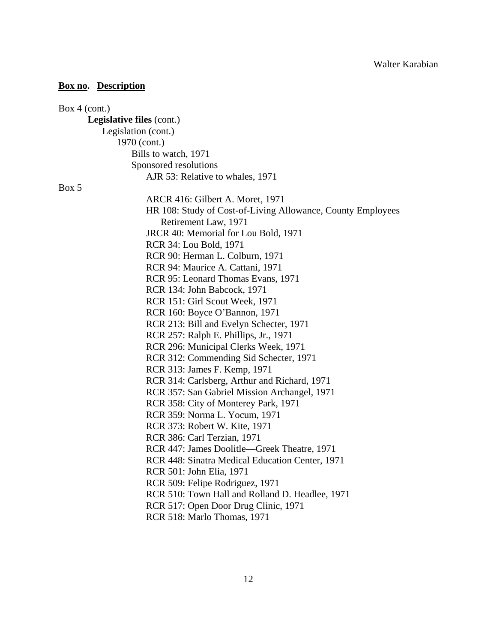| Box $4$ (cont.)                                             |
|-------------------------------------------------------------|
| <b>Legislative files (cont.)</b>                            |
| Legislation (cont.)                                         |
| 1970 (cont.)                                                |
| Bills to watch, 1971                                        |
| Sponsored resolutions                                       |
| AJR 53: Relative to whales, 1971                            |
| Box 5                                                       |
| ARCR 416: Gilbert A. Moret, 1971                            |
| HR 108: Study of Cost-of-Living Allowance, County Employees |
| Retirement Law, 1971                                        |
| JRCR 40: Memorial for Lou Bold, 1971                        |
| RCR 34: Lou Bold, 1971                                      |
| RCR 90: Herman L. Colburn, 1971                             |
| RCR 94: Maurice A. Cattani, 1971                            |
| RCR 95: Leonard Thomas Evans, 1971                          |
| RCR 134: John Babcock, 1971                                 |
| RCR 151: Girl Scout Week, 1971                              |
| RCR 160: Boyce O'Bannon, 1971                               |
| RCR 213: Bill and Evelyn Schecter, 1971                     |
| RCR 257: Ralph E. Phillips, Jr., 1971                       |
| RCR 296: Municipal Clerks Week, 1971                        |
| RCR 312: Commending Sid Schecter, 1971                      |
| RCR 313: James F. Kemp, 1971                                |
| RCR 314: Carlsberg, Arthur and Richard, 1971                |
| RCR 357: San Gabriel Mission Archangel, 1971                |
| RCR 358: City of Monterey Park, 1971                        |
| RCR 359: Norma L. Yocum, 1971                               |
| RCR 373: Robert W. Kite, 1971                               |
| RCR 386: Carl Terzian, 1971                                 |
| RCR 447: James Doolitle—Greek Theatre, 1971                 |
| RCR 448: Sinatra Medical Education Center, 1971             |
| RCR 501: John Elia, 1971                                    |
| RCR 509: Felipe Rodriguez, 1971                             |
| RCR 510: Town Hall and Rolland D. Headlee, 1971             |
| RCR 517: Open Door Drug Clinic, 1971                        |
| RCR 518: Marlo Thomas, 1971                                 |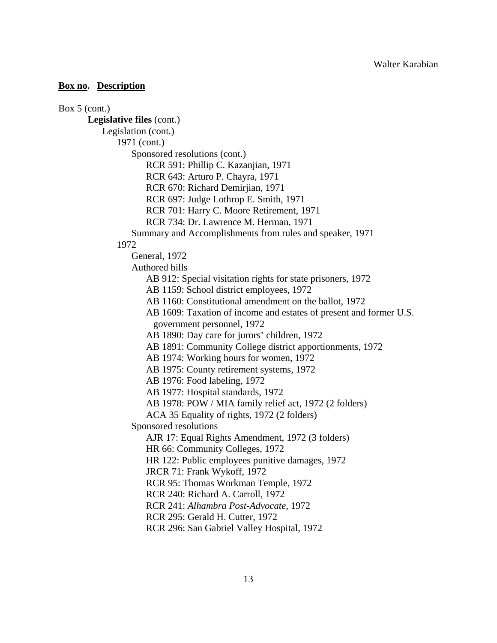Box 5 (cont.) **Legislative files** (cont.) Legislation (cont.) 1971 (cont.) Sponsored resolutions (cont.) RCR 591: Phillip C. Kazanjian, 1971 RCR 643: Arturo P. Chayra, 1971 RCR 670: Richard Demirjian, 1971 RCR 697: Judge Lothrop E. Smith, 1971 RCR 701: Harry C. Moore Retirement, 1971 RCR 734: Dr. Lawrence M. Herman, 1971 Summary and Accomplishments from rules and speaker, 1971 1972 General, 1972 Authored bills AB 912: Special visitation rights for state prisoners, 1972 AB 1159: School district employees, 1972 AB 1160: Constitutional amendment on the ballot, 1972 AB 1609: Taxation of income and estates of present and former U.S. government personnel, 1972 AB 1890: Day care for jurors' children, 1972 AB 1891: Community College district apportionments, 1972 AB 1974: Working hours for women, 1972 AB 1975: County retirement systems, 1972 AB 1976: Food labeling, 1972 AB 1977: Hospital standards, 1972 AB 1978: POW / MIA family relief act, 1972 (2 folders) ACA 35 Equality of rights, 1972 (2 folders) Sponsored resolutions AJR 17: Equal Rights Amendment, 1972 (3 folders) HR 66: Community Colleges, 1972 HR 122: Public employees punitive damages, 1972 JRCR 71: Frank Wykoff, 1972 RCR 95: Thomas Workman Temple, 1972 RCR 240: Richard A. Carroll, 1972 RCR 241: *Alhambra Post-Advocate*, 1972 RCR 295: Gerald H. Cutter, 1972

RCR 296: San Gabriel Valley Hospital, 1972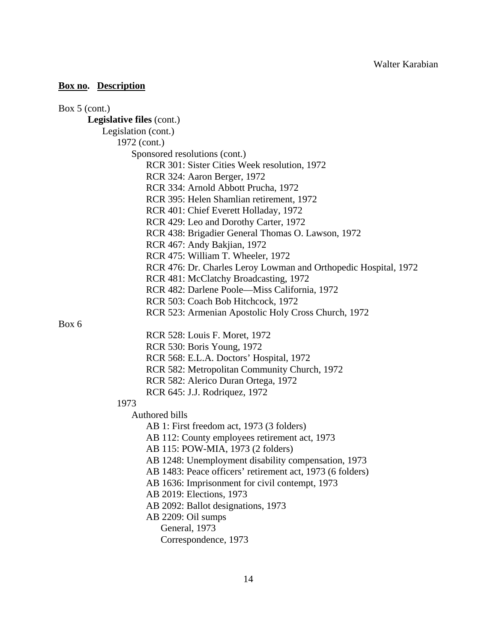| Box $5$ (cont.)                                                 |
|-----------------------------------------------------------------|
| <b>Legislative files (cont.)</b>                                |
| Legislation (cont.)                                             |
| 1972 (cont.)                                                    |
| Sponsored resolutions (cont.)                                   |
| RCR 301: Sister Cities Week resolution, 1972                    |
| RCR 324: Aaron Berger, 1972                                     |
| RCR 334: Arnold Abbott Prucha, 1972                             |
| RCR 395: Helen Shamlian retirement, 1972                        |
| RCR 401: Chief Everett Holladay, 1972                           |
| RCR 429: Leo and Dorothy Carter, 1972                           |
| RCR 438: Brigadier General Thomas O. Lawson, 1972               |
| RCR 467: Andy Bakjian, 1972                                     |
| RCR 475: William T. Wheeler, 1972                               |
| RCR 476: Dr. Charles Leroy Lowman and Orthopedic Hospital, 1972 |
| RCR 481: McClatchy Broadcasting, 1972                           |
| RCR 482: Darlene Poole—Miss California, 1972                    |
| RCR 503: Coach Bob Hitchcock, 1972                              |
| RCR 523: Armenian Apostolic Holy Cross Church, 1972             |
| Box 6                                                           |
| RCR 528: Louis F. Moret, 1972                                   |
| RCR 530: Boris Young, 1972                                      |
| RCR 568: E.L.A. Doctors' Hospital, 1972                         |
| RCR 582: Metropolitan Community Church, 1972                    |
| RCR 582: Alerico Duran Ortega, 1972                             |
| RCR 645: J.J. Rodriquez, 1972                                   |
| 1973                                                            |
| Authored bills                                                  |
| AB 1: First freedom act, 1973 (3 folders)                       |
| AB 112: County employees retirement act, 1973                   |
| AB 115: POW-MIA, 1973 (2 folders)                               |
| AB 1248: Unemployment disability compensation, 1973             |
| AB 1483: Peace officers' retirement act, 1973 (6 folders)       |
| AB 1636: Imprisonment for civil contempt, 1973                  |
| AB 2019: Elections, 1973                                        |
| AB 2092: Ballot designations, 1973                              |
| AB 2209: Oil sumps                                              |
| General, 1973                                                   |
| Correspondence, 1973                                            |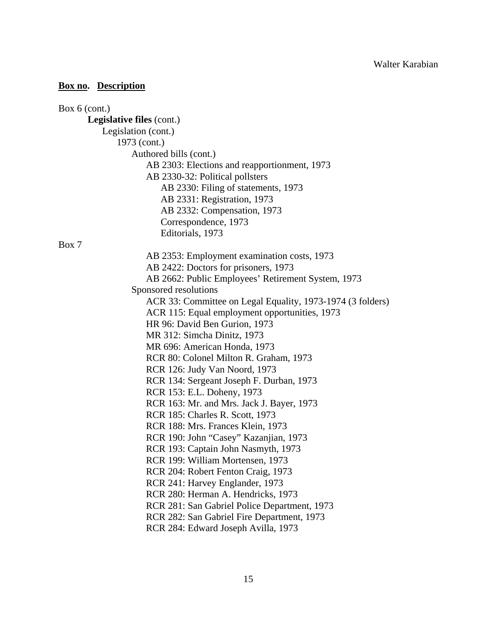| Box $6$ (cont.)                                            |
|------------------------------------------------------------|
| Legislative files (cont.)                                  |
| Legislation (cont.)                                        |
| 1973 (cont.)                                               |
| Authored bills (cont.)                                     |
| AB 2303: Elections and reapportionment, 1973               |
| AB 2330-32: Political pollsters                            |
| AB 2330: Filing of statements, 1973                        |
| AB 2331: Registration, 1973                                |
| AB 2332: Compensation, 1973                                |
| Correspondence, 1973                                       |
| Editorials, 1973                                           |
| Box 7                                                      |
| AB 2353: Employment examination costs, 1973                |
| AB 2422: Doctors for prisoners, 1973                       |
| AB 2662: Public Employees' Retirement System, 1973         |
| Sponsored resolutions                                      |
| ACR 33: Committee on Legal Equality, 1973-1974 (3 folders) |
| ACR 115: Equal employment opportunities, 1973              |
| HR 96: David Ben Gurion, 1973                              |
| MR 312: Simcha Dinitz, 1973                                |
| MR 696: American Honda, 1973                               |
| RCR 80: Colonel Milton R. Graham, 1973                     |
| RCR 126: Judy Van Noord, 1973                              |
| RCR 134: Sergeant Joseph F. Durban, 1973                   |
| RCR 153: E.L. Doheny, 1973                                 |
| RCR 163: Mr. and Mrs. Jack J. Bayer, 1973                  |
| RCR 185: Charles R. Scott, 1973                            |
| RCR 188: Mrs. Frances Klein, 1973                          |
| RCR 190: John "Casey" Kazanjian, 1973                      |
| RCR 193: Captain John Nasmyth, 1973                        |
| RCR 199: William Mortensen, 1973                           |
| RCR 204: Robert Fenton Craig, 1973                         |
| RCR 241: Harvey Englander, 1973                            |
| RCR 280: Herman A. Hendricks, 1973                         |
| RCR 281: San Gabriel Police Department, 1973               |
| RCR 282: San Gabriel Fire Department, 1973                 |
| RCR 284: Edward Joseph Avilla, 1973                        |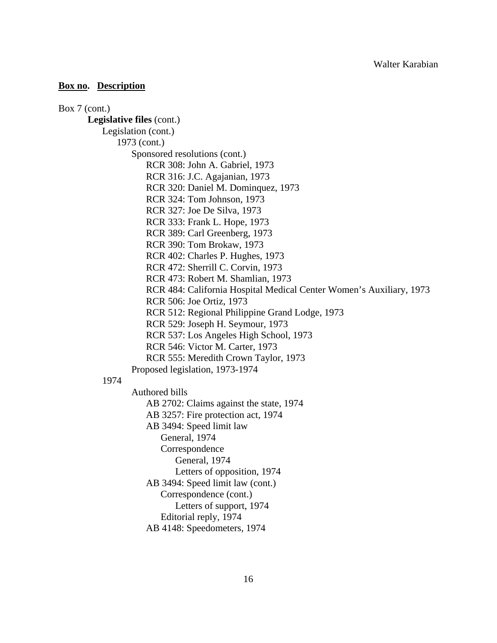Box 7 (cont.) **Legislative files** (cont.) Legislation (cont.) 1973 (cont.) Sponsored resolutions (cont.) RCR 308: John A. Gabriel, 1973 RCR 316: J.C. Agajanian, 1973 RCR 320: Daniel M. Dominquez, 1973 RCR 324: Tom Johnson, 1973 RCR 327: Joe De Silva, 1973 RCR 333: Frank L. Hope, 1973 RCR 389: Carl Greenberg, 1973 RCR 390: Tom Brokaw, 1973 RCR 402: Charles P. Hughes, 1973 RCR 472: Sherrill C. Corvin, 1973 RCR 473: Robert M. Shamlian, 1973 RCR 484: California Hospital Medical Center Women's Auxiliary, 1973 RCR 506: Joe Ortiz, 1973 RCR 512: Regional Philippine Grand Lodge, 1973 RCR 529: Joseph H. Seymour, 1973 RCR 537: Los Angeles High School, 1973 RCR 546: Victor M. Carter, 1973 RCR 555: Meredith Crown Taylor, 1973 Proposed legislation, 1973-1974 1974 Authored bills AB 2702: Claims against the state, 1974 AB 3257: Fire protection act, 1974 AB 3494: Speed limit law General, 1974 Correspondence General, 1974 Letters of opposition, 1974 AB 3494: Speed limit law (cont.) Correspondence (cont.) Letters of support, 1974 Editorial reply, 1974 AB 4148: Speedometers, 1974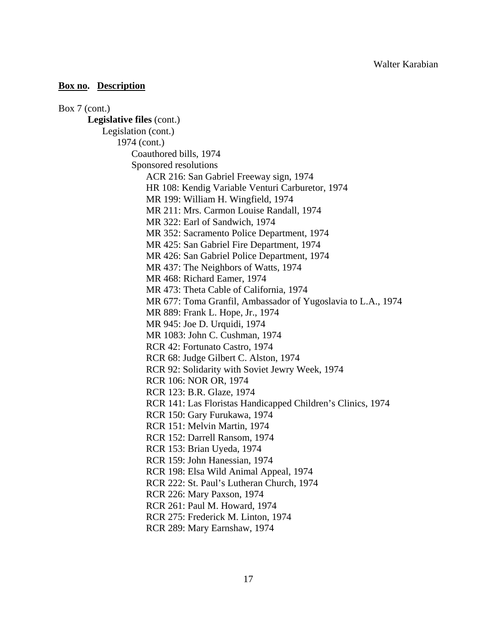Box 7 (cont.) **Legislative files** (cont.) Legislation (cont.) 1974 (cont.) Coauthored bills, 1974 Sponsored resolutions ACR 216: San Gabriel Freeway sign, 1974 HR 108: Kendig Variable Venturi Carburetor, 1974 MR 199: William H. Wingfield, 1974 MR 211: Mrs. Carmon Louise Randall, 1974 MR 322: Earl of Sandwich, 1974 MR 352: Sacramento Police Department, 1974 MR 425: San Gabriel Fire Department, 1974 MR 426: San Gabriel Police Department, 1974 MR 437: The Neighbors of Watts, 1974 MR 468: Richard Eamer, 1974 MR 473: Theta Cable of California, 1974 MR 677: Toma Granfil, Ambassador of Yugoslavia to L.A., 1974 MR 889: Frank L. Hope, Jr., 1974 MR 945: Joe D. Urquidi, 1974 MR 1083: John C. Cushman, 1974 RCR 42: Fortunato Castro, 1974 RCR 68: Judge Gilbert C. Alston, 1974 RCR 92: Solidarity with Soviet Jewry Week, 1974 RCR 106: NOR OR, 1974 RCR 123: B.R. Glaze, 1974 RCR 141: Las Floristas Handicapped Children's Clinics, 1974 RCR 150: Gary Furukawa, 1974 RCR 151: Melvin Martin, 1974 RCR 152: Darrell Ransom, 1974 RCR 153: Brian Uyeda, 1974 RCR 159: John Hanessian, 1974 RCR 198: Elsa Wild Animal Appeal, 1974 RCR 222: St. Paul's Lutheran Church, 1974 RCR 226: Mary Paxson, 1974 RCR 261: Paul M. Howard, 1974 RCR 275: Frederick M. Linton, 1974 RCR 289: Mary Earnshaw, 1974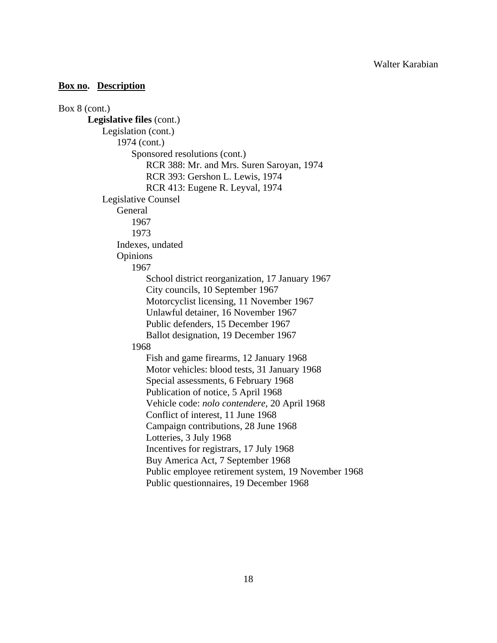```
Box 8 (cont.) 
Legislative files (cont.) 
     Legislation (cont.) 
         1974 (cont.) 
             Sponsored resolutions (cont.) 
                RCR 388: Mr. and Mrs. Suren Saroyan, 1974 
                RCR 393: Gershon L. Lewis, 1974 
                RCR 413: Eugene R. Leyval, 1974 
     Legislative Counsel 
         General 
             1967 
             1973 
         Indexes, undated 
         Opinions 
             1967 
                School district reorganization, 17 January 1967 
                City councils, 10 September 1967 
                Motorcyclist licensing, 11 November 1967 
                Unlawful detainer, 16 November 1967 
                Public defenders, 15 December 1967 
                Ballot designation, 19 December 1967 
             1968 
                Fish and game firearms, 12 January 1968 
                Motor vehicles: blood tests, 31 January 1968 
                Special assessments, 6 February 1968 
                Publication of notice, 5 April 1968 
                Vehicle code: nolo contendere, 20 April 1968 
                Conflict of interest, 11 June 1968 
                Campaign contributions, 28 June 1968 
                Lotteries, 3 July 1968 
                Incentives for registrars, 17 July 1968 
                Buy America Act, 7 September 1968 
                Public employee retirement system, 19 November 1968 
                Public questionnaires, 19 December 1968
```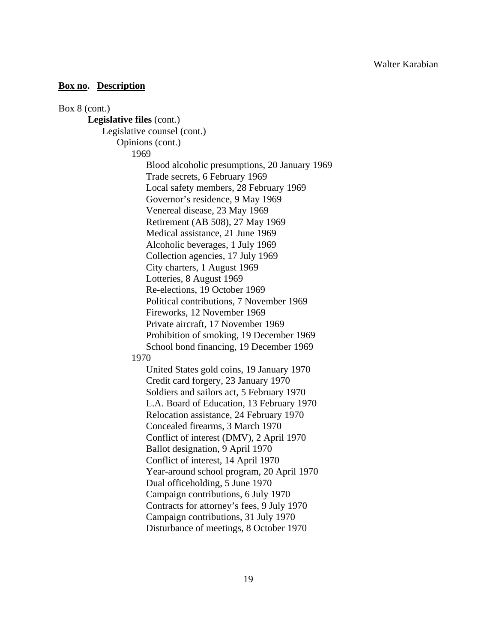Box 8 (cont.) **Legislative files** (cont.) Legislative counsel (cont.) Opinions (cont.) 1969 Blood alcoholic presumptions, 20 January 1969 Trade secrets, 6 February 1969 Local safety members, 28 February 1969 Governor's residence, 9 May 1969 Venereal disease, 23 May 1969 Retirement (AB 508), 27 May 1969 Medical assistance, 21 June 1969 Alcoholic beverages, 1 July 1969 Collection agencies, 17 July 1969 City charters, 1 August 1969 Lotteries, 8 August 1969 Re-elections, 19 October 1969 Political contributions, 7 November 1969 Fireworks, 12 November 1969 Private aircraft, 17 November 1969 Prohibition of smoking, 19 December 1969 School bond financing, 19 December 1969 1970 United States gold coins, 19 January 1970 Credit card forgery, 23 January 1970 Soldiers and sailors act, 5 February 1970 L.A. Board of Education, 13 February 1970 Relocation assistance, 24 February 1970 Concealed firearms, 3 March 1970 Conflict of interest (DMV), 2 April 1970 Ballot designation, 9 April 1970 Conflict of interest, 14 April 1970 Year-around school program, 20 April 1970 Dual officeholding, 5 June 1970 Campaign contributions, 6 July 1970 Contracts for attorney's fees, 9 July 1970 Campaign contributions, 31 July 1970 Disturbance of meetings, 8 October 1970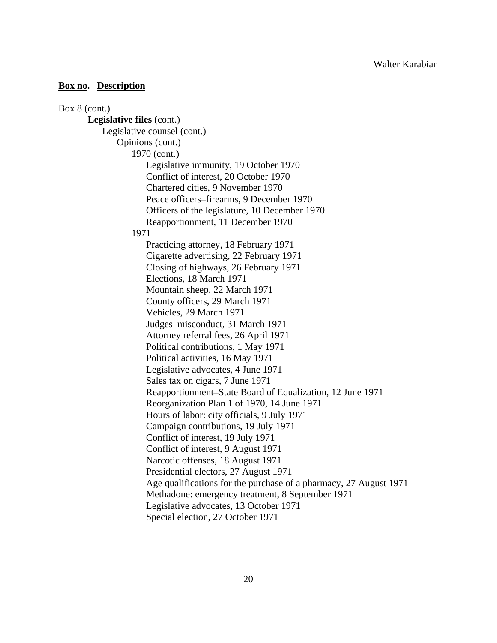Box 8 (cont.) **Legislative files** (cont.) Legislative counsel (cont.) Opinions (cont.) 1970 (cont.) Legislative immunity, 19 October 1970 Conflict of interest, 20 October 1970 Chartered cities, 9 November 1970 Peace officers–firearms, 9 December 1970 Officers of the legislature, 10 December 1970 Reapportionment, 11 December 1970 1971 Practicing attorney, 18 February 1971 Cigarette advertising, 22 February 1971 Closing of highways, 26 February 1971 Elections, 18 March 1971 Mountain sheep, 22 March 1971 County officers, 29 March 1971 Vehicles, 29 March 1971 Judges–misconduct, 31 March 1971 Attorney referral fees, 26 April 1971 Political contributions, 1 May 1971 Political activities, 16 May 1971 Legislative advocates, 4 June 1971 Sales tax on cigars, 7 June 1971 Reapportionment–State Board of Equalization, 12 June 1971 Reorganization Plan 1 of 1970, 14 June 1971 Hours of labor: city officials, 9 July 1971 Campaign contributions, 19 July 1971 Conflict of interest, 19 July 1971 Conflict of interest, 9 August 1971 Narcotic offenses, 18 August 1971 Presidential electors, 27 August 1971 Age qualifications for the purchase of a pharmacy, 27 August 1971 Methadone: emergency treatment, 8 September 1971 Legislative advocates, 13 October 1971 Special election, 27 October 1971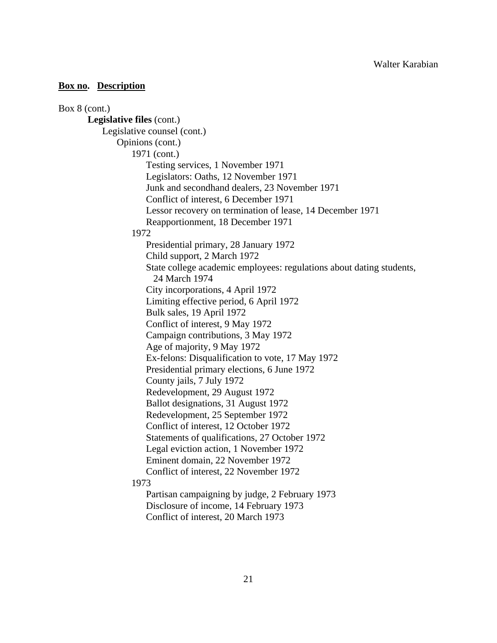# Box 8 (cont.) **Legislative files** (cont.) Legislative counsel (cont.) Opinions (cont.) 1971 (cont.) Testing services, 1 November 1971 Legislators: Oaths, 12 November 1971 Junk and secondhand dealers, 23 November 1971 Conflict of interest, 6 December 1971 Lessor recovery on termination of lease, 14 December 1971 Reapportionment, 18 December 1971 1972 Presidential primary, 28 January 1972 Child support, 2 March 1972 State college academic employees: regulations about dating students, 24 March 1974 City incorporations, 4 April 1972 Limiting effective period, 6 April 1972 Bulk sales, 19 April 1972 Conflict of interest, 9 May 1972 Campaign contributions, 3 May 1972 Age of majority, 9 May 1972 Ex-felons: Disqualification to vote, 17 May 1972 Presidential primary elections, 6 June 1972 County jails, 7 July 1972 Redevelopment, 29 August 1972 Ballot designations, 31 August 1972 Redevelopment, 25 September 1972 Conflict of interest, 12 October 1972 Statements of qualifications, 27 October 1972 Legal eviction action, 1 November 1972 Eminent domain, 22 November 1972 Conflict of interest, 22 November 1972 1973 Partisan campaigning by judge, 2 February 1973 Disclosure of income, 14 February 1973 Conflict of interest, 20 March 1973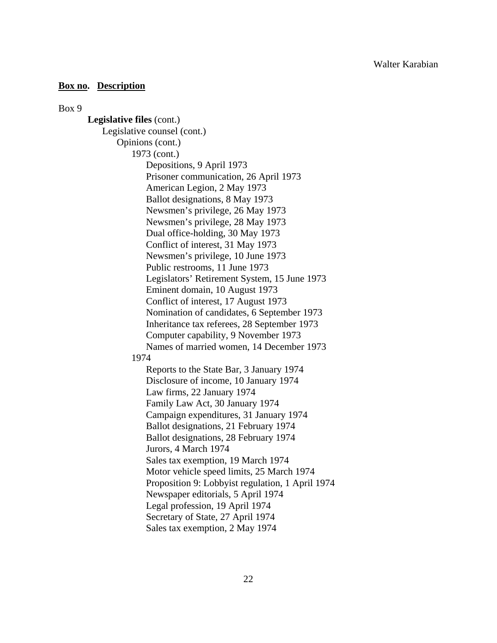Box 9

**Legislative files** (cont.) Legislative counsel (cont.) Opinions (cont.) 1973 (cont.) Depositions, 9 April 1973 Prisoner communication, 26 April 1973 American Legion, 2 May 1973 Ballot designations, 8 May 1973 Newsmen's privilege, 26 May 1973 Newsmen's privilege, 28 May 1973 Dual office-holding, 30 May 1973 Conflict of interest, 31 May 1973 Newsmen's privilege, 10 June 1973 Public restrooms, 11 June 1973 Legislators' Retirement System, 15 June 1973 Eminent domain, 10 August 1973 Conflict of interest, 17 August 1973 Nomination of candidates, 6 September 1973 Inheritance tax referees, 28 September 1973 Computer capability, 9 November 1973 Names of married women, 14 December 1973 1974 Reports to the State Bar, 3 January 1974 Disclosure of income, 10 January 1974 Law firms, 22 January 1974 Family Law Act, 30 January 1974 Campaign expenditures, 31 January 1974 Ballot designations, 21 February 1974 Ballot designations, 28 February 1974 Jurors, 4 March 1974 Sales tax exemption, 19 March 1974 Motor vehicle speed limits, 25 March 1974 Proposition 9: Lobbyist regulation, 1 April 1974 Newspaper editorials, 5 April 1974 Legal profession, 19 April 1974 Secretary of State, 27 April 1974 Sales tax exemption, 2 May 1974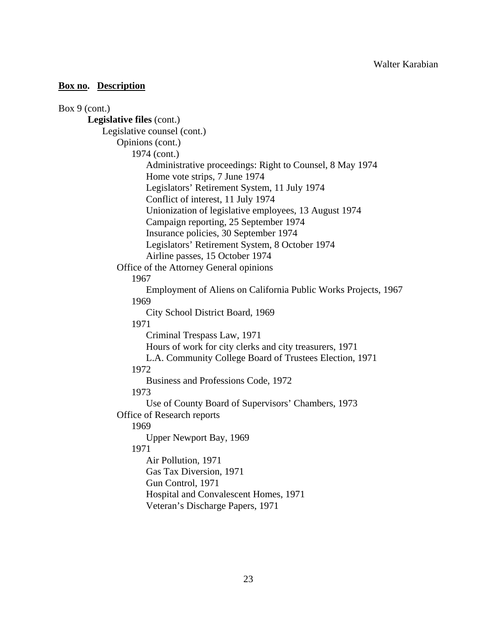Box 9 (cont.) **Legislative files** (cont.) Legislative counsel (cont.) Opinions (cont.) 1974 (cont.) Administrative proceedings: Right to Counsel, 8 May 1974 Home vote strips, 7 June 1974 Legislators' Retirement System, 11 July 1974 Conflict of interest, 11 July 1974 Unionization of legislative employees, 13 August 1974 Campaign reporting, 25 September 1974 Insurance policies, 30 September 1974 Legislators' Retirement System, 8 October 1974 Airline passes, 15 October 1974 Office of the Attorney General opinions 1967 Employment of Aliens on California Public Works Projects, 1967 1969 City School District Board, 1969 1971 Criminal Trespass Law, 1971 Hours of work for city clerks and city treasurers, 1971 L.A. Community College Board of Trustees Election, 1971 1972 Business and Professions Code, 1972 1973 Use of County Board of Supervisors' Chambers, 1973 Office of Research reports 1969 Upper Newport Bay, 1969 1971 Air Pollution, 1971 Gas Tax Diversion, 1971 Gun Control, 1971 Hospital and Convalescent Homes, 1971 Veteran's Discharge Papers, 1971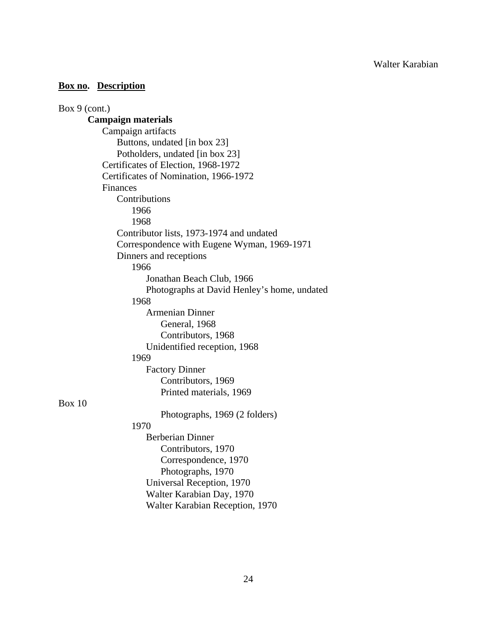| Box $9$ (cont.)                             |
|---------------------------------------------|
| <b>Campaign materials</b>                   |
| Campaign artifacts                          |
| Buttons, undated [in box 23]                |
| Potholders, undated [in box 23]             |
| Certificates of Election, 1968-1972         |
| Certificates of Nomination, 1966-1972       |
| Finances                                    |
| Contributions                               |
| 1966                                        |
| 1968                                        |
| Contributor lists, 1973-1974 and undated    |
| Correspondence with Eugene Wyman, 1969-1971 |
| Dinners and receptions                      |
| 1966                                        |
| Jonathan Beach Club, 1966                   |
| Photographs at David Henley's home, undated |
| 1968                                        |
| <b>Armenian Dinner</b>                      |
| General, 1968                               |
| Contributors, 1968                          |
| Unidentified reception, 1968                |
| 1969                                        |
| <b>Factory Dinner</b>                       |
| Contributors, 1969                          |
| Printed materials, 1969                     |
| Box 10                                      |
| Photographs, 1969 (2 folders)               |
| 1970                                        |
| <b>Berberian Dinner</b>                     |
| Contributors, 1970                          |
| Correspondence, 1970                        |
| Photographs, 1970                           |
| Universal Reception, 1970                   |
| Walter Karabian Day, 1970                   |
| Walter Karabian Reception, 1970             |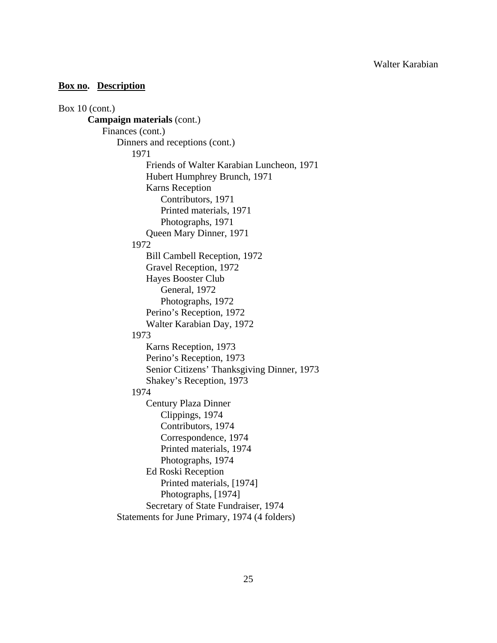```
Box 10 (cont.) 
Campaign materials (cont.) 
     Finances (cont.) 
         Dinners and receptions (cont.) 
             1971 
                 Friends of Walter Karabian Luncheon, 1971 
                 Hubert Humphrey Brunch, 1971 
                 Karns Reception 
                     Contributors, 1971 
                     Printed materials, 1971 
                     Photographs, 1971 
                 Queen Mary Dinner, 1971 
             1972 
                 Bill Cambell Reception, 1972 
                 Gravel Reception, 1972 
                 Hayes Booster Club 
                     General, 1972 
                     Photographs, 1972 
                 Perino's Reception, 1972 
                 Walter Karabian Day, 1972 
             1973 
                 Karns Reception, 1973 
                 Perino's Reception, 1973 
                 Senior Citizens' Thanksgiving Dinner, 1973 
                 Shakey's Reception, 1973 
             1974 
                 Century Plaza Dinner 
                     Clippings, 1974 
                     Contributors, 1974 
                     Correspondence, 1974 
                     Printed materials, 1974 
                     Photographs, 1974 
                 Ed Roski Reception 
                     Printed materials, [1974] 
                     Photographs, [1974] 
                 Secretary of State Fundraiser, 1974 
         Statements for June Primary, 1974 (4 folders)
```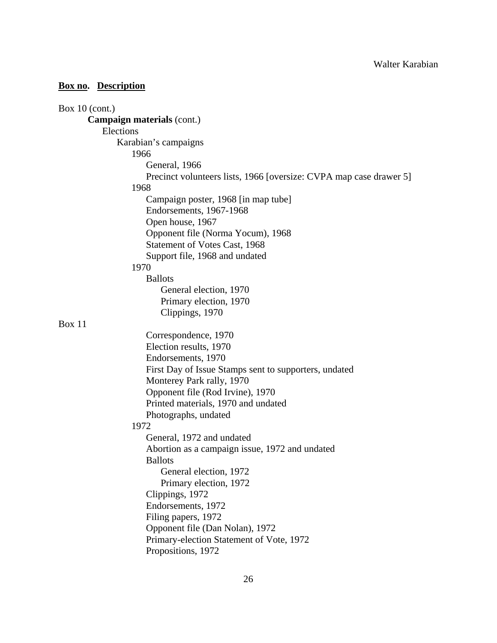| Box $10$ (cont.)                                                   |
|--------------------------------------------------------------------|
| <b>Campaign materials (cont.)</b>                                  |
| Elections                                                          |
| Karabian's campaigns                                               |
| 1966                                                               |
| General, 1966                                                      |
| Precinct volunteers lists, 1966 [oversize: CVPA map case drawer 5] |
| 1968                                                               |
| Campaign poster, 1968 [in map tube]                                |
| Endorsements, 1967-1968                                            |
| Open house, 1967                                                   |
| Opponent file (Norma Yocum), 1968                                  |
| Statement of Votes Cast, 1968                                      |
| Support file, 1968 and undated                                     |
| 1970                                                               |
| <b>Ballots</b>                                                     |
| General election, 1970                                             |
| Primary election, 1970                                             |
| Clippings, 1970                                                    |
| Box 11                                                             |
| Correspondence, 1970                                               |
| Election results, 1970                                             |
| Endorsements, 1970                                                 |
| First Day of Issue Stamps sent to supporters, undated              |
| Monterey Park rally, 1970                                          |
| Opponent file (Rod Irvine), 1970                                   |
| Printed materials, 1970 and undated                                |
| Photographs, undated                                               |
| 1972                                                               |
| General, 1972 and undated                                          |
| Abortion as a campaign issue, 1972 and undated                     |
| <b>Ballots</b>                                                     |
| General election, 1972                                             |
| Primary election, 1972                                             |
| Clippings, 1972                                                    |
| Endorsements, 1972                                                 |
| Filing papers, 1972                                                |
| Opponent file (Dan Nolan), 1972                                    |
| Primary-election Statement of Vote, 1972                           |
| Propositions, 1972                                                 |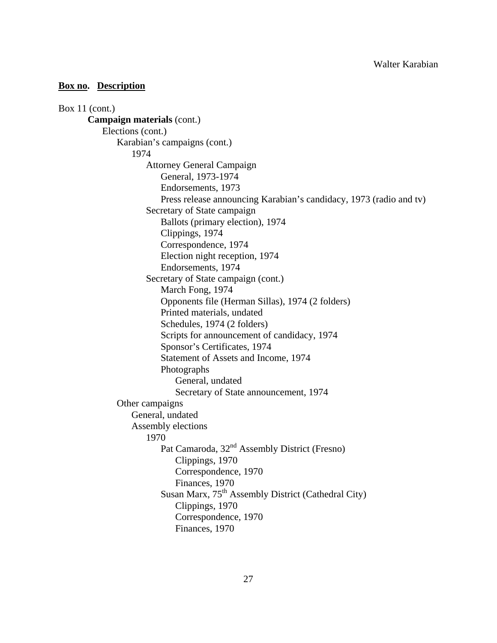Box 11 (cont.) **Campaign materials** (cont.) Elections (cont.) Karabian's campaigns (cont.) 1974 Attorney General Campaign General, 1973-1974 Endorsements, 1973 Press release announcing Karabian's candidacy, 1973 (radio and tv) Secretary of State campaign Ballots (primary election), 1974 Clippings, 1974 Correspondence, 1974 Election night reception, 1974 Endorsements, 1974 Secretary of State campaign (cont.) March Fong, 1974 Opponents file (Herman Sillas), 1974 (2 folders) Printed materials, undated Schedules, 1974 (2 folders) Scripts for announcement of candidacy, 1974 Sponsor's Certificates, 1974 Statement of Assets and Income, 1974 Photographs General, undated Secretary of State announcement, 1974 Other campaigns General, undated Assembly elections 1970 Pat Camaroda, 32<sup>nd</sup> Assembly District (Fresno) Clippings, 1970 Correspondence, 1970 Finances, 1970 Susan Marx,  $75<sup>th</sup>$  Assembly District (Cathedral City) Clippings, 1970 Correspondence, 1970 Finances, 1970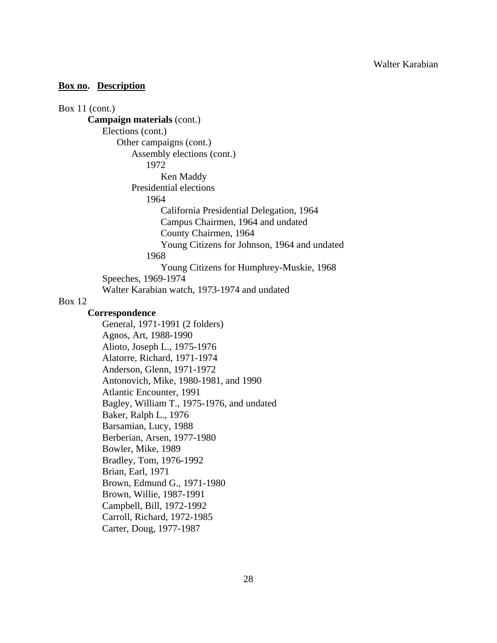```
Box 11 (cont.) 
 Campaign materials (cont.) 
     Elections (cont.) 
         Other campaigns (cont.) 
            Assembly elections (cont.) 
                1972 
                    Ken Maddy 
            Presidential elections 
                1964 
                    California Presidential Delegation, 1964 
                    Campus Chairmen, 1964 and undated 
                    County Chairmen, 1964 
                    Young Citizens for Johnson, 1964 and undated 
                1968 
                    Young Citizens for Humphrey-Muskie, 1968 
     Speeches, 1969-1974 
     Walter Karabian watch, 1973-1974 and undated
```
#### Box 12

## **Correspondence**

General, 1971-1991 (2 folders) Agnos, Art, 1988-1990 Alioto, Joseph L., 1975-1976 Alatorre, Richard, 1971-1974 Anderson, Glenn, 1971-1972 Antonovich, Mike, 1980-1981, and 1990 Atlantic Encounter, 1991 Bagley, William T., 1975-1976, and undated Baker, Ralph L., 1976 Barsamian, Lucy, 1988 Berberian, Arsen, 1977-1980 Bowler, Mike, 1989 Bradley, Tom, 1976-1992 Brian, Earl, 1971 Brown, Edmund G., 1971-1980 Brown, Willie, 1987-1991 Campbell, Bill, 1972-1992 Carroll, Richard, 1972-1985 Carter, Doug, 1977-1987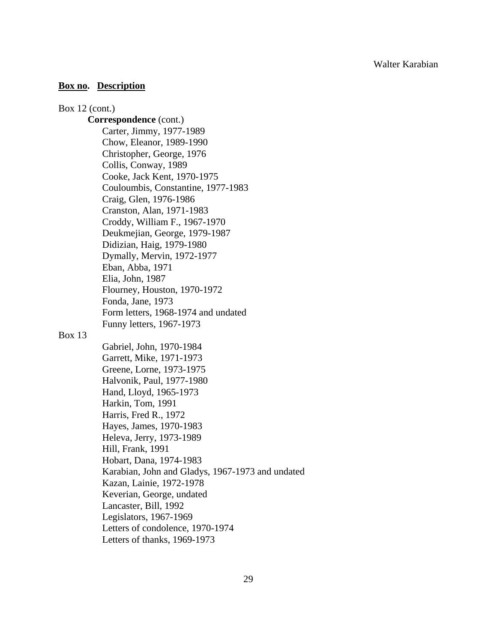### **Box no. Description**

Box 12 (cont.) **Correspondence** (cont.) Carter, Jimmy, 1977-1989 Chow, Eleanor, 1989-1990 Christopher, George, 1976 Collis, Conway, 1989 Cooke, Jack Kent, 1970-1975 Couloumbis, Constantine, 1977-1983 Craig, Glen, 1976-1986 Cranston, Alan, 1971-1983 Croddy, William F., 1967-1970 Deukmejian, George, 1979-1987 Didizian, Haig, 1979-1980 Dymally, Mervin, 1972-1977 Eban, Abba, 1971 Elia, John, 1987 Flourney, Houston, 1970-1972 Fonda, Jane, 1973 Form letters, 1968-1974 and undated Funny letters, 1967-1973 Gabriel, John, 1970-1984

#### Box 13

 Garrett, Mike, 1971-1973 Greene, Lorne, 1973-1975 Halvonik, Paul, 1977-1980 Hand, Lloyd, 1965-1973 Harkin, Tom, 1991 Harris, Fred R., 1972 Hayes, James, 1970-1983 Heleva, Jerry, 1973-1989 Hill, Frank, 1991 Hobart, Dana, 1974-1983 Karabian, John and Gladys, 1967-1973 and undated Kazan, Lainie, 1972-1978 Keverian, George, undated Lancaster, Bill, 1992 Legislators, 1967-1969 Letters of condolence, 1970-1974 Letters of thanks, 1969-1973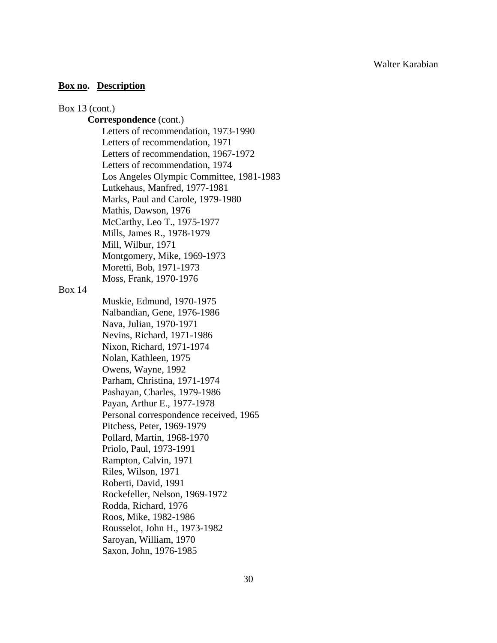### Box 13 (cont.)

## **Correspondence** (cont.)

 Letters of recommendation, 1973-1990 Letters of recommendation, 1971 Letters of recommendation, 1967-1972 Letters of recommendation, 1974 Los Angeles Olympic Committee, 1981-1983 Lutkehaus, Manfred, 1977-1981 Marks, Paul and Carole, 1979-1980 Mathis, Dawson, 1976 McCarthy, Leo T., 1975-1977 Mills, James R., 1978-1979 Mill, Wilbur, 1971 Montgomery, Mike, 1969-1973 Moretti, Bob, 1971-1973 Moss, Frank, 1970-1976

Box 14

 Muskie, Edmund, 1970-1975 Nalbandian, Gene, 1976-1986 Nava, Julian, 1970-1971 Nevins, Richard, 1971-1986 Nixon, Richard, 1971-1974 Nolan, Kathleen, 1975 Owens, Wayne, 1992 Parham, Christina, 1971-1974 Pashayan, Charles, 1979-1986 Payan, Arthur E., 1977-1978 Personal correspondence received, 1965 Pitchess, Peter, 1969-1979 Pollard, Martin, 1968-1970 Priolo, Paul, 1973-1991 Rampton, Calvin, 1971 Riles, Wilson, 1971 Roberti, David, 1991 Rockefeller, Nelson, 1969-1972 Rodda, Richard, 1976 Roos, Mike, 1982-1986 Rousselot, John H., 1973-1982 Saroyan, William, 1970 Saxon, John, 1976-1985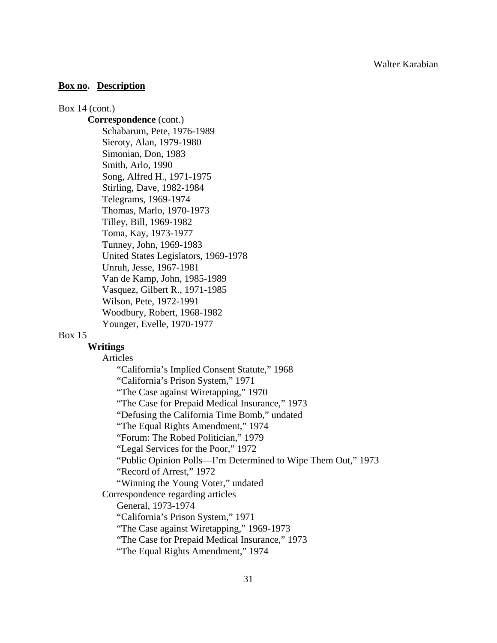#### Box 14 (cont.)

**Correspondence** (cont.) Schabarum, Pete, 1976-1989 Sieroty, Alan, 1979-1980 Simonian, Don, 1983 Smith, Arlo, 1990 Song, Alfred H., 1971-1975 Stirling, Dave, 1982-1984 Telegrams, 1969-1974 Thomas, Marlo, 1970-1973 Tilley, Bill, 1969-1982 Toma, Kay, 1973-1977 Tunney, John, 1969-1983 United States Legislators, 1969-1978 Unruh, Jesse, 1967-1981 Van de Kamp, John, 1985-1989 Vasquez, Gilbert R., 1971-1985 Wilson, Pete, 1972-1991 Woodbury, Robert, 1968-1982 Younger, Evelle, 1970-1977

#### Box 15

# **Writings**

Articles

 "California's Implied Consent Statute," 1968 "California's Prison System," 1971 "The Case against Wiretapping," 1970 "The Case for Prepaid Medical Insurance," 1973 "Defusing the California Time Bomb," undated "The Equal Rights Amendment," 1974 "Forum: The Robed Politician," 1979 "Legal Services for the Poor," 1972 "Public Opinion Polls—I'm Determined to Wipe Them Out," 1973 "Record of Arrest," 1972 "Winning the Young Voter," undated Correspondence regarding articles General, 1973-1974 "California's Prison System," 1971 "The Case against Wiretapping," 1969-1973 "The Case for Prepaid Medical Insurance," 1973

"The Equal Rights Amendment," 1974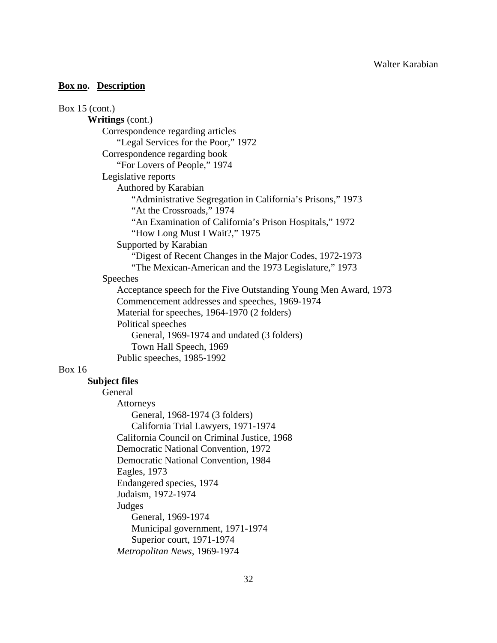| Box $15$ (cont.)                                                                        |
|-----------------------------------------------------------------------------------------|
| <b>Writings</b> (cont.)                                                                 |
| Correspondence regarding articles                                                       |
| "Legal Services for the Poor," 1972                                                     |
| Correspondence regarding book                                                           |
| "For Lovers of People," 1974                                                            |
| Legislative reports                                                                     |
| Authored by Karabian                                                                    |
| "Administrative Segregation in California's Prisons," 1973<br>"At the Crossroads," 1974 |
| "An Examination of California's Prison Hospitals," 1972                                 |
| "How Long Must I Wait?," 1975                                                           |
| Supported by Karabian                                                                   |
| "Digest of Recent Changes in the Major Codes, 1972-1973                                 |
| "The Mexican-American and the 1973 Legislature," 1973                                   |
| Speeches                                                                                |
| Acceptance speech for the Five Outstanding Young Men Award, 1973                        |
| Commencement addresses and speeches, 1969-1974                                          |
| Material for speeches, 1964-1970 (2 folders)                                            |
| Political speeches                                                                      |
| General, 1969-1974 and undated (3 folders)                                              |
| Town Hall Speech, 1969                                                                  |
| Public speeches, 1985-1992                                                              |
| <b>Box 16</b>                                                                           |
| <b>Subject files</b>                                                                    |
| General                                                                                 |
| Attorneys                                                                               |
| General, 1968-1974 (3 folders)                                                          |
| California Trial Lawyers, 1971-1974                                                     |
| California Council on Criminal Justice, 1968                                            |
| Democratic National Convention, 1972                                                    |
| Democratic National Convention, 1984                                                    |
| Eagles, 1973                                                                            |
| Endangered species, 1974                                                                |
| Judaism, 1972-1974                                                                      |
| Judges                                                                                  |
| General, 1969-1974                                                                      |
| Municipal government, 1971-1974                                                         |
| Superior court, 1971-1974                                                               |
| Metropolitan News, 1969-1974                                                            |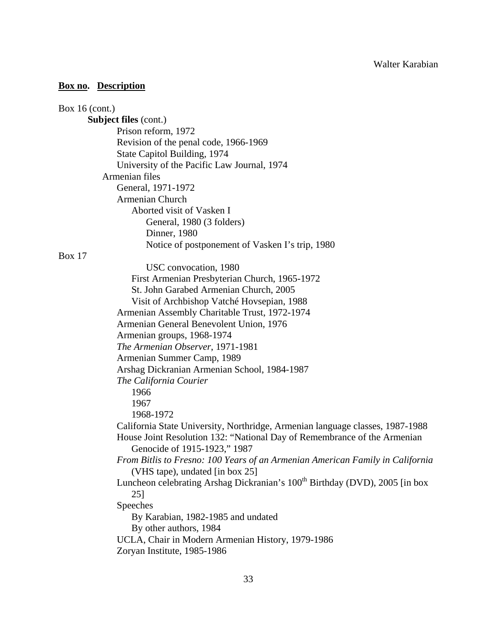| Box 16 (cont.)                                                                          |
|-----------------------------------------------------------------------------------------|
| <b>Subject files (cont.)</b>                                                            |
| Prison reform, 1972                                                                     |
| Revision of the penal code, 1966-1969                                                   |
| State Capitol Building, 1974                                                            |
| University of the Pacific Law Journal, 1974                                             |
| Armenian files                                                                          |
| General, 1971-1972                                                                      |
| <b>Armenian Church</b>                                                                  |
| Aborted visit of Vasken I                                                               |
| General, 1980 (3 folders)                                                               |
| Dinner, 1980                                                                            |
| Notice of postponement of Vasken I's trip, 1980                                         |
| <b>Box 17</b>                                                                           |
| USC convocation, 1980                                                                   |
| First Armenian Presbyterian Church, 1965-1972                                           |
| St. John Garabed Armenian Church, 2005                                                  |
| Visit of Archbishop Vatché Hovsepian, 1988                                              |
| Armenian Assembly Charitable Trust, 1972-1974                                           |
| Armenian General Benevolent Union, 1976                                                 |
| Armenian groups, 1968-1974                                                              |
| The Armenian Observer, 1971-1981                                                        |
| Armenian Summer Camp, 1989                                                              |
| Arshag Dickranian Armenian School, 1984-1987                                            |
| The California Courier                                                                  |
| 1966                                                                                    |
| 1967                                                                                    |
| 1968-1972                                                                               |
| California State University, Northridge, Armenian language classes, 1987-1988           |
| House Joint Resolution 132: "National Day of Remembrance of the Armenian                |
| Genocide of 1915-1923," 1987                                                            |
| From Bitlis to Fresno: 100 Years of an Armenian American Family in California           |
| (VHS tape), undated [in box 25]                                                         |
| Luncheon celebrating Arshag Dickranian's 100 <sup>th</sup> Birthday (DVD), 2005 [in box |
| 25]                                                                                     |
| Speeches                                                                                |
| By Karabian, 1982-1985 and undated                                                      |
| By other authors, 1984                                                                  |
| UCLA, Chair in Modern Armenian History, 1979-1986                                       |
| Zoryan Institute, 1985-1986                                                             |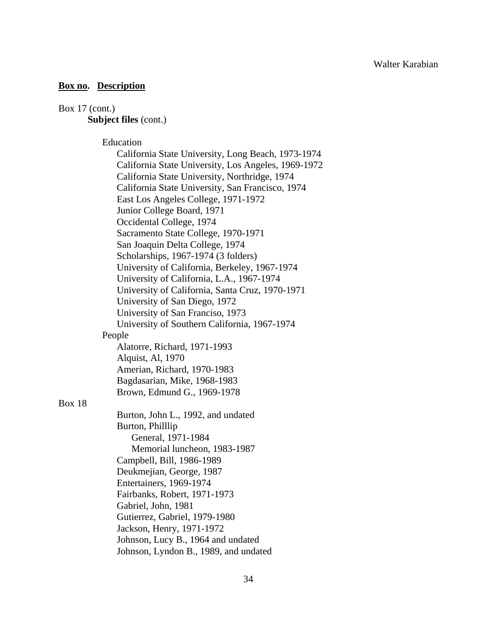# Box 17 (cont.)

Box 18

# **Subject files** (cont.)

Education

|               | California State University, Long Beach, 1973-1974  |
|---------------|-----------------------------------------------------|
|               | California State University, Los Angeles, 1969-1972 |
|               | California State University, Northridge, 1974       |
|               | California State University, San Francisco, 1974    |
|               | East Los Angeles College, 1971-1972                 |
|               | Junior College Board, 1971                          |
|               | Occidental College, 1974                            |
|               | Sacramento State College, 1970-1971                 |
|               | San Joaquin Delta College, 1974                     |
|               | Scholarships, 1967-1974 (3 folders)                 |
|               | University of California, Berkeley, 1967-1974       |
|               | University of California, L.A., 1967-1974           |
|               | University of California, Santa Cruz, 1970-1971     |
|               | University of San Diego, 1972                       |
|               | University of San Franciso, 1973                    |
|               | University of Southern California, 1967-1974        |
|               | People                                              |
|               | Alatorre, Richard, 1971-1993                        |
|               | Alquist, Al, 1970                                   |
|               | Amerian, Richard, 1970-1983                         |
|               | Bagdasarian, Mike, 1968-1983                        |
|               | Brown, Edmund G., 1969-1978                         |
| <b>Box 18</b> |                                                     |
|               | Burton, John L., 1992, and undated                  |
|               | Burton, Philllip                                    |
|               | General, 1971-1984                                  |
|               | Memorial luncheon, 1983-1987                        |
|               | Campbell, Bill, 1986-1989                           |
|               | Deukmejian, George, 1987                            |
|               | Entertainers, 1969-1974                             |
|               | Fairbanks, Robert, 1971-1973                        |
|               | Gabriel, John, 1981                                 |
|               | Gutierrez, Gabriel, 1979-1980                       |
|               | Jackson, Henry, 1971-1972                           |
|               | Johnson, Lucy B., 1964 and undated                  |
|               | Johnson, Lyndon B., 1989, and undated               |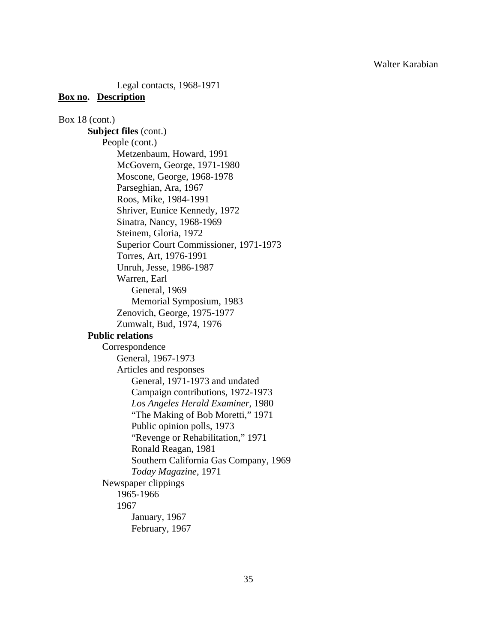Legal contacts, 1968-1971

### **Box no. Description**

Box 18 (cont.) **Subject files** (cont.) People (cont.) Metzenbaum, Howard, 1991 McGovern, George, 1971-1980 Moscone, George, 1968-1978 Parseghian, Ara, 1967 Roos, Mike, 1984-1991 Shriver, Eunice Kennedy, 1972 Sinatra, Nancy, 1968-1969 Steinem, Gloria, 1972 Superior Court Commissioner, 1971-1973 Torres, Art, 1976-1991 Unruh, Jesse, 1986-1987 Warren, Earl General, 1969 Memorial Symposium, 1983 Zenovich, George, 1975-1977 Zumwalt, Bud, 1974, 1976 **Public relations**  Correspondence General, 1967-1973 Articles and responses General, 1971-1973 and undated Campaign contributions, 1972-1973 *Los Angeles Herald Examiner*, 1980 "The Making of Bob Moretti," 1971 Public opinion polls, 1973 "Revenge or Rehabilitation," 1971 Ronald Reagan, 1981 Southern California Gas Company, 1969 *Today Magazine*, 1971 Newspaper clippings 1965-1966 1967 January, 1967 February, 1967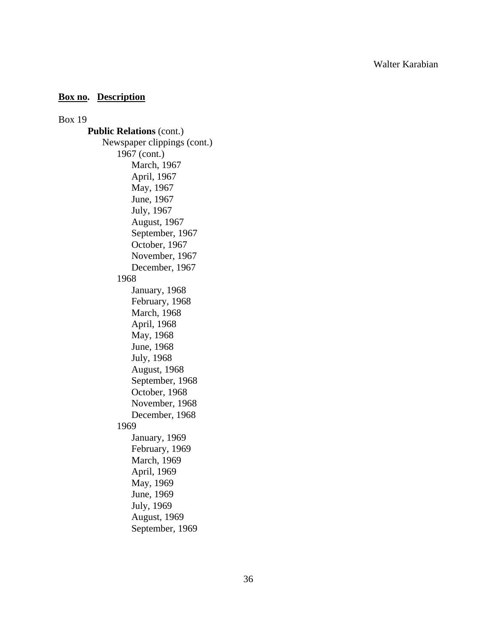## **Box no. Description**

Box 19

**Public Relations** (cont.) Newspaper clippings (cont.) 1967 (cont.) March, 1967 April, 1967 May, 1967 June, 1967 July, 1967 August, 1967 September, 1967 October, 1967 November, 1967 December, 1967 1968 January, 1968 February, 1968 March, 1968 April, 1968 May, 1968 June, 1968 July, 1968 August, 1968 September, 1968 October, 1968 November, 1968 December, 1968 1969 January, 1969 February, 1969 March, 1969 April, 1969 May, 1969 June, 1969 July, 1969 August, 1969 September, 1969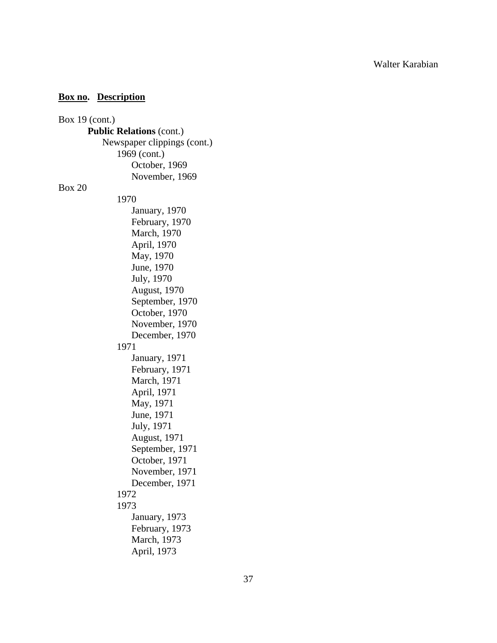| Box $19$ (cont.)                |  |
|---------------------------------|--|
| <b>Public Relations (cont.)</b> |  |
| Newspaper clippings (cont.)     |  |
| 1969 (cont.)                    |  |
| October, 1969                   |  |
| November, 1969                  |  |
| <b>Box 20</b>                   |  |
| 1970                            |  |
| January, 1970                   |  |
| February, 1970                  |  |
| March, 1970                     |  |
| April, 1970                     |  |
| May, 1970                       |  |
| June, 1970                      |  |
| July, 1970                      |  |
| <b>August, 1970</b>             |  |
| September, 1970                 |  |
| October, 1970                   |  |
| November, 1970                  |  |
| December, 1970                  |  |
| 1971                            |  |
| January, 1971                   |  |
| February, 1971                  |  |
| March, 1971                     |  |
| April, 1971                     |  |
| May, 1971                       |  |
| June, 1971                      |  |
| July, 1971                      |  |
| <b>August</b> , 1971            |  |
| September, 1971                 |  |
| October, 1971                   |  |
| November, 1971                  |  |
| December, 1971                  |  |
| 1972                            |  |
| 1973                            |  |
| January, 1973                   |  |
| February, 1973                  |  |
| March, 1973                     |  |
| April, 1973                     |  |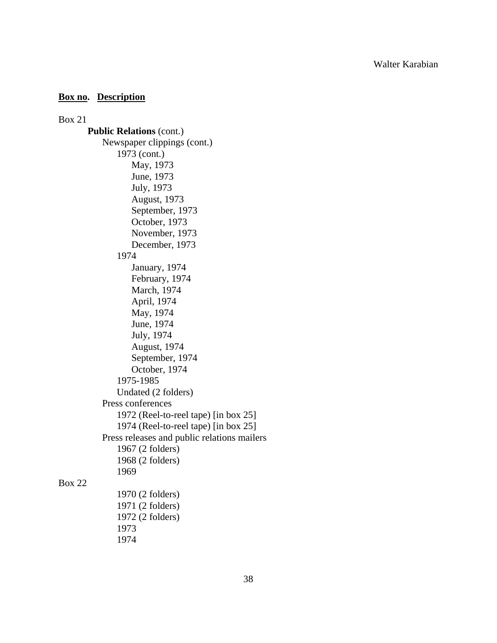## **Box no. Description**

Box 21 **Public Relations** (cont.) Newspaper clippings (cont.) 1973 (cont.) May, 1973 June, 1973 July, 1973 August, 1973 September, 1973 October, 1973 November, 1973 December, 1973 1974 January, 1974 February, 1974 March, 1974 April, 1974 May, 1974 June, 1974 July, 1974 August, 1974 September, 1974 October, 1974 1975-1985 Undated (2 folders) Press conferences 1972 (Reel-to-reel tape) [in box 25] 1974 (Reel-to-reel tape) [in box 25] Press releases and public relations mailers 1967 (2 folders) 1968 (2 folders) 1969 Box 22 1970 (2 folders) 1971 (2 folders) 1972 (2 folders) 1973

1974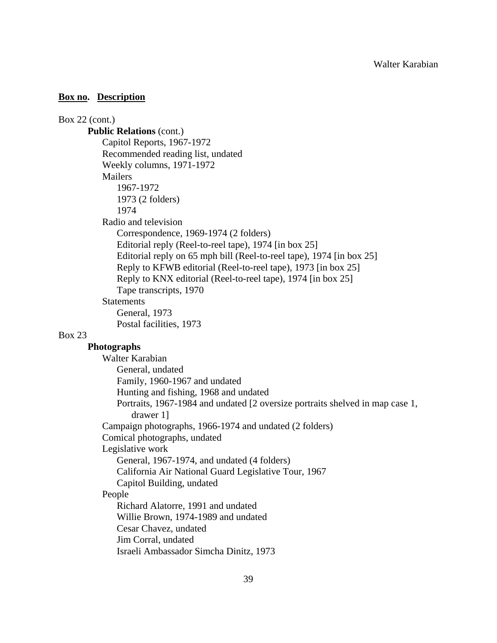Box 22 (cont.) **Public Relations** (cont.) Capitol Reports, 1967-1972 Recommended reading list, undated Weekly columns, 1971-1972 **Mailers**  1967-1972 1973 (2 folders) 1974 Radio and television Correspondence, 1969-1974 (2 folders) Editorial reply (Reel-to-reel tape), 1974 [in box 25] Editorial reply on 65 mph bill (Reel-to-reel tape), 1974 [in box 25] Reply to KFWB editorial (Reel-to-reel tape), 1973 [in box 25] Reply to KNX editorial (Reel-to-reel tape), 1974 [in box 25] Tape transcripts, 1970 **Statements**  General, 1973 Postal facilities, 1973 Box 23 **Photographs** Walter Karabian General, undated Family, 1960-1967 and undated Hunting and fishing, 1968 and undated Portraits, 1967-1984 and undated [2 oversize portraits shelved in map case 1, drawer 1] Campaign photographs, 1966-1974 and undated (2 folders) Comical photographs, undated Legislative work General, 1967-1974, and undated (4 folders) California Air National Guard Legislative Tour, 1967 Capitol Building, undated People Richard Alatorre, 1991 and undated Willie Brown, 1974-1989 and undated Cesar Chavez, undated Jim Corral, undated Israeli Ambassador Simcha Dinitz, 1973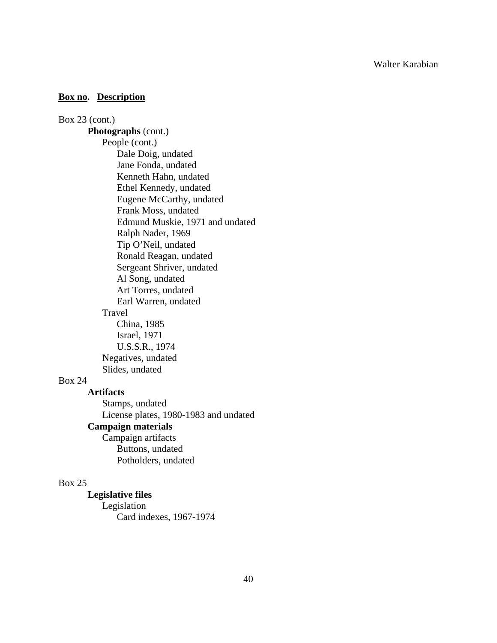## **Box no. Description**

Box 23 (cont.) **Photographs** (cont.) People (cont.) Dale Doig, undated Jane Fonda, undated Kenneth Hahn, undated Ethel Kennedy, undated Eugene McCarthy, undated Frank Moss, undated Edmund Muskie, 1971 and undated Ralph Nader, 1969 Tip O'Neil, undated Ronald Reagan, undated Sergeant Shriver, undated Al Song, undated Art Torres, undated Earl Warren, undated Travel China, 1985 Israel, 1971 U.S.S.R., 1974 Negatives, undated Slides, undated Box 24 **Artifacts** 

 Stamps, undated License plates, 1980-1983 and undated **Campaign materials** Campaign artifacts Buttons, undated Potholders, undated

## Box 25

**Legislative files**  Legislation Card indexes, 1967-1974